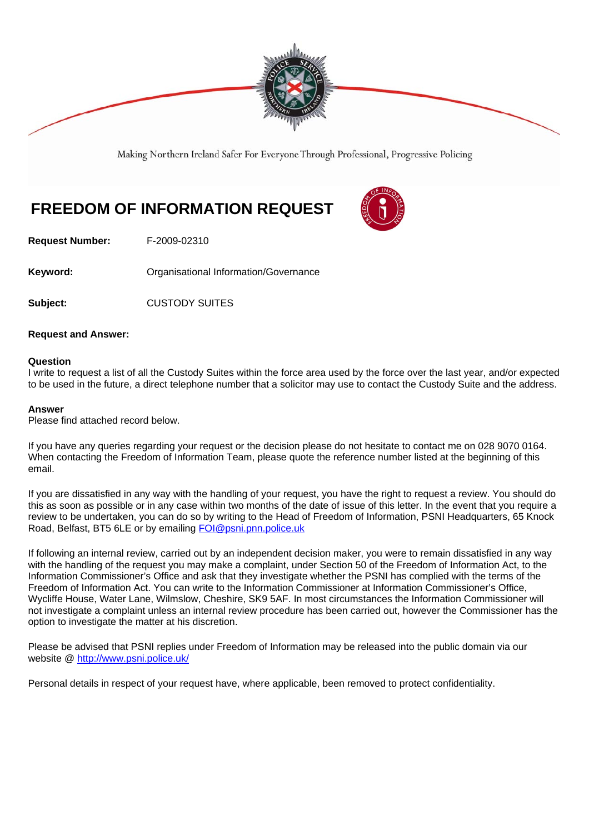

Making Northern Ireland Safer For Everyone Through Professional, Progressive Policing

# **FREEDOM OF INFORMATION REQUEST**



**Request Number:** F-2009-02310

**Keyword: Communistry Communistional Information/Governance** 

**Subject: CUSTODY SUITES** 

## **Request and Answer:**

#### **Question**

I write to request a list of all the Custody Suites within the force area used by the force over the last year, and/or expected to be used in the future, a direct telephone number that a solicitor may use to contact the Custody Suite and the address.

#### **Answer**

Please find attached record below.

If you have any queries regarding your request or the decision please do not hesitate to contact me on 028 9070 0164. When contacting the Freedom of Information Team, please quote the reference number listed at the beginning of this email.

If you are dissatisfied in any way with the handling of your request, you have the right to request a review. You should do this as soon as possible or in any case within two months of the date of issue of this letter. In the event that you require a review to be undertaken, you can do so by writing to the Head of Freedom of Information, PSNI Headquarters, 65 Knock Road, Belfast, BT5 6LE or by emailing FOI@psni.pnn.police.uk

If following an internal review, carried out by an independent decision maker, you were to remain dissatisfied in any way with the handling of the request you may make a complaint, under Section 50 of the Freedom of Information Act, to the Information Commissioner's Office and ask that they investigate whether the PSNI has complied with the terms of the Freedom of Information Act. You can write to the Information Commissioner at Information Commissioner's Office, Wycliffe House, Water Lane, Wilmslow, Cheshire, SK9 5AF. In most circumstances the Information Commissioner will not investigate a complaint unless an internal review procedure has been carried out, however the Commissioner has the option to investigate the matter at his discretion.

Please be advised that PSNI replies under Freedom of Information may be released into the public domain via our website @ http://www.psni.police.uk/

Personal details in respect of your request have, where applicable, been removed to protect confidentiality.